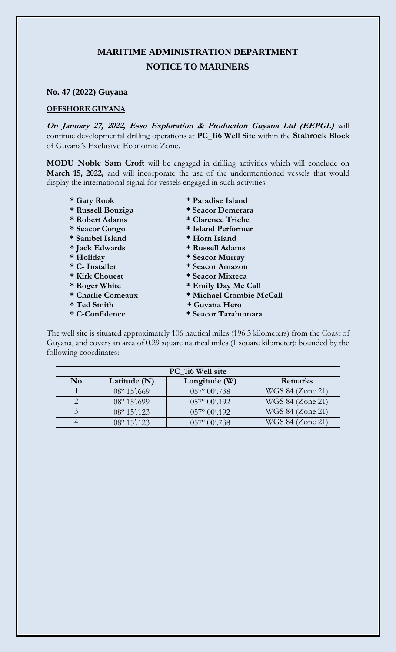## **MARITIME ADMINISTRATION DEPARTMENT NOTICE TO MARINERS**

## **No. 47 (2022) Guyana**

## **OFFSHORE GUYANA**

**On January 27, 2022, Esso Exploration & Production Guyana Ltd (EEPGL)** will continue developmental drilling operations at **PC\_1i6 Well Site** within the **Stabroek Block** of Guyana's Exclusive Economic Zone.

**MODU Noble Sam Croft** will be engaged in drilling activities which will conclude on **March 15, 2022,** and will incorporate the use of the undermentioned vessels that would display the international signal for vessels engaged in such activities:

- 
- 
- 
- 
- **\* Sanibel Island \* Horn Island**
- 
- 
- 
- 
- 
- 
- 
- 
- **\* Gary Rook \* Paradise Island**
- **\* Russell Bouziga \* Seacor Demerara**
- **\* Robert Adams \* Clarence Triche**
- **\* Seacor Congo \* Island Performer** 
	-
- **\* Jack Edwards \* Russell Adams**
- **\* Holiday \* Seacor Murray**
- **\* C- Installer \* Seacor Amazon**
- **\* Kirk Chouest \* Seacor Mixteca**
- **\* Roger White \* Emily Day Mc Call**
- **\* Charlie Comeaux \* Michael Crombie McCall**
- **\* Ted Smith \* Guyana Hero**
- **\* C-Confidence \* Seacor Tarahumara**

The well site is situated approximately 106 nautical miles (196.3 kilometers) from the Coast of Guyana, and covers an area of 0.29 square nautical miles (1 square kilometer); bounded by the following coordinates:

| PC_1i6 Well site       |                       |                        |                  |
|------------------------|-----------------------|------------------------|------------------|
| $\mathbf{N}\mathbf{o}$ | Latitude (N)          | Longitude (W)          | Remarks          |
|                        | $08^{\circ} 15'$ .669 | $057^{\circ} 00'$ .738 | WGS 84 (Zone 21) |
|                        | $08^{\circ} 15'$ .699 | $057^{\circ} 00'$ .192 | WGS 84 (Zone 21) |
|                        | $08^{\circ} 15'$ .123 | $057^{\circ} 00'$ .192 | WGS 84 (Zone 21) |
|                        | $08^{\circ} 15'$ .123 | $057^{\circ} 00'$ .738 | WGS 84 (Zone 21) |